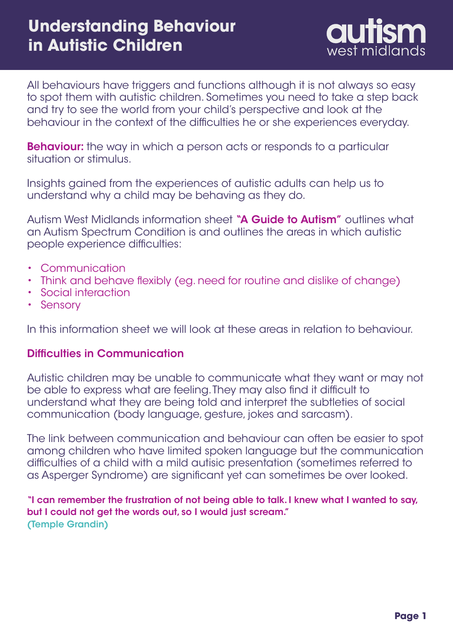

All behaviours have triggers and functions although it is not always so easy to spot them with autistic children. Sometimes you need to take a step back and try to see the world from your child's perspective and look at the behaviour in the context of the difficulties he or she experiences everyday.

**Behaviour:** the way in which a person acts or responds to a particular situation or stimulus.

Insights gained from the experiences of autistic adults can help us to understand why a child may be behaving as they do.

Autism West Midlands information sheet "A Guide to Autism" outlines what an Autism Spectrum Condition is and outlines the areas in which autistic people experience difficulties:

- Communication
- Think and behave flexibly (eg. need for routine and dislike of change)
- Social interaction
- Sensory

In this information sheet we will look at these areas in relation to behaviour.

#### Difficulties in Communication

Autistic children may be unable to communicate what they want or may not be able to express what are feeling. They may also find it difficult to understand what they are being told and interpret the subtleties of social communication (body language, gesture, jokes and sarcasm).

The link between communication and behaviour can often be easier to spot among children who have limited spoken language but the communication difficulties of a child with a mild autisic presentation (sometimes referred to as Asperger Syndrome) are significant yet can sometimes be over looked.

"I can remember the frustration of not being able to talk. I knew what I wanted to say, but I could not get the words out, so I would just scream." (Temple Grandin)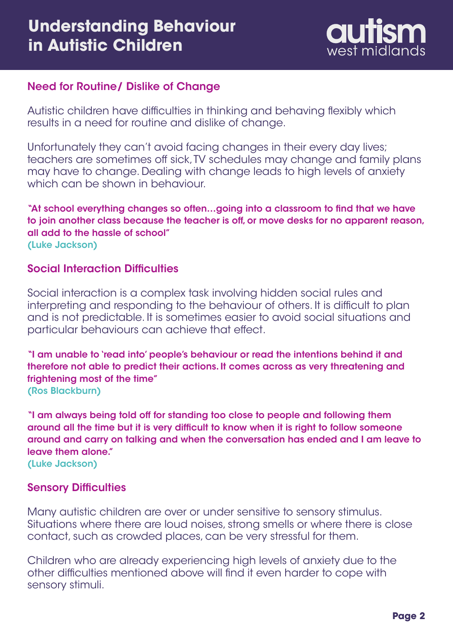

## Need for Routine/ Dislike of Change

Autistic children have difficulties in thinking and behaving flexibly which results in a need for routine and dislike of change.

Unfortunately they can't avoid facing changes in their every day lives; teachers are sometimes off sick, TV schedules may change and family plans may have to change. Dealing with change leads to high levels of anxiety which can be shown in behaviour.

"At school everything changes so often…going into a classroom to find that we have to join another class because the teacher is off, or move desks for no apparent reason, all add to the hassle of school" (Luke Jackson)

#### Social Interaction Difficulties

Social interaction is a complex task involving hidden social rules and interpreting and responding to the behaviour of others. It is difficult to plan and is not predictable. It is sometimes easier to avoid social situations and particular behaviours can achieve that effect.

"I am unable to 'read into' people's behaviour or read the intentions behind it and therefore not able to predict their actions. It comes across as very threatening and frightening most of the time" (Ros Blackburn)

"I am always being told off for standing too close to people and following them around all the time but it is very difficult to know when it is right to follow someone around and carry on talking and when the conversation has ended and I am leave to leave them alone." (Luke Jackson)

Sensory Difficulties

Many autistic children are over or under sensitive to sensory stimulus. Situations where there are loud noises, strong smells or where there is close contact, such as crowded places, can be very stressful for them.

Children who are already experiencing high levels of anxiety due to the other difficulties mentioned above will find it even harder to cope with sensory stimuli.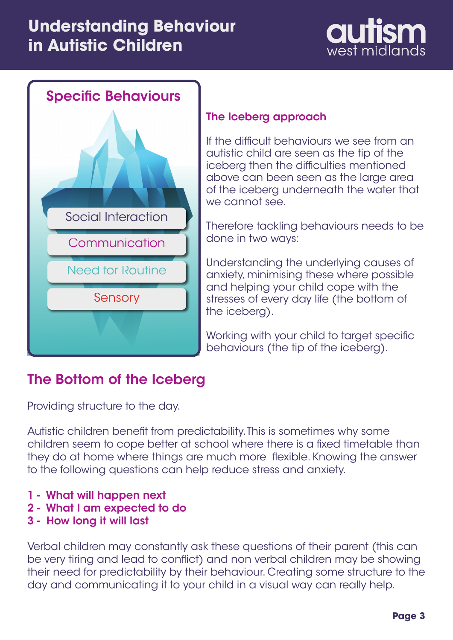# **Understanding Behaviour in Autistic Children**





## The Iceberg approach

If the difficult behaviours we see from an autistic child are seen as the tip of the iceberg then the difficulties mentioned above can been seen as the large area of the iceberg underneath the water that we cannot see.

Therefore tackling behaviours needs to be done in two ways:

Understanding the underlying causes of anxiety, minimising these where possible and helping your child cope with the stresses of every day life (the bottom of the iceberg).

Working with your child to target specific behaviours (the tip of the iceberg).

## The Bottom of the Iceberg

Providing structure to the day.

Autistic children benefit from predictability. This is sometimes why some children seem to cope better at school where there is a fixed timetable than they do at home where things are much more flexible. Knowing the answer to the following questions can help reduce stress and anxiety.

- 1 What will happen next
- 2 What I am expected to do
- 3 How long it will last

Verbal children may constantly ask these questions of their parent (this can be very tiring and lead to conflict) and non verbal children may be showing their need for predictability by their behaviour. Creating some structure to the day and communicating it to your child in a visual way can really help.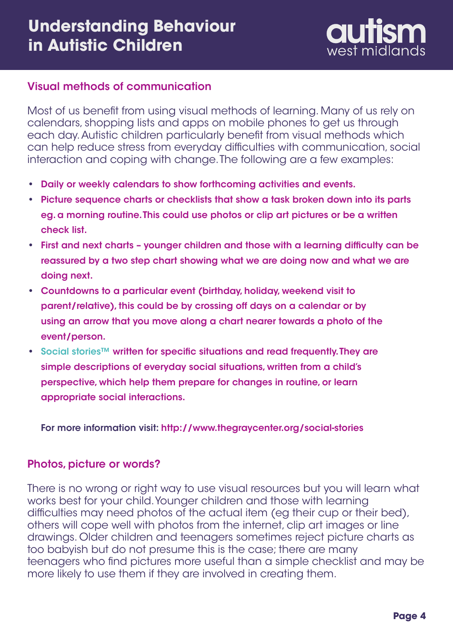

## Visual methods of communication

Most of us benefit from using visual methods of learning. Many of us rely on calendars, shopping lists and apps on mobile phones to get us through each day. Autistic children particularly benefit from visual methods which can help reduce stress from everyday difficulties with communication, social interaction and coping with change. The following are a few examples:

- Daily or weekly calendars to show forthcoming activities and events. **•**
- Picture sequence charts or checklists that show a task broken down into its parts **•** eg. a morning routine. This could use photos or clip art pictures or be a written check list.
- First and next charts younger children and those with a learning difficulty can be **•** reassured by a two step chart showing what we are doing now and what we are doing next.
- Countdowns to a particular event (birthday, holiday, weekend visit to **•** parent/relative), this could be by crossing off days on a calendar or by using an arrow that you move along a chart nearer towards a photo of the event/person.
- Social stories™ written for specific situations and read frequently. They are **•**simple descriptions of everyday social situations, written from a child's perspective, which help them prepare for changes in routine, or learn appropriate social interactions.

For more information visit: <http://www.thegraycenter.org/social-stories>

#### Photos, picture or words?

There is no wrong or right way to use visual resources but you will learn what works best for your child. Younger children and those with learning difficulties may need photos of the actual item (eg their cup or their bed), others will cope well with photos from the internet, clip art images or line drawings. Older children and teenagers sometimes reject picture charts as too babyish but do not presume this is the case; there are many teenagers who find pictures more useful than a simple checklist and may be more likely to use them if they are involved in creating them.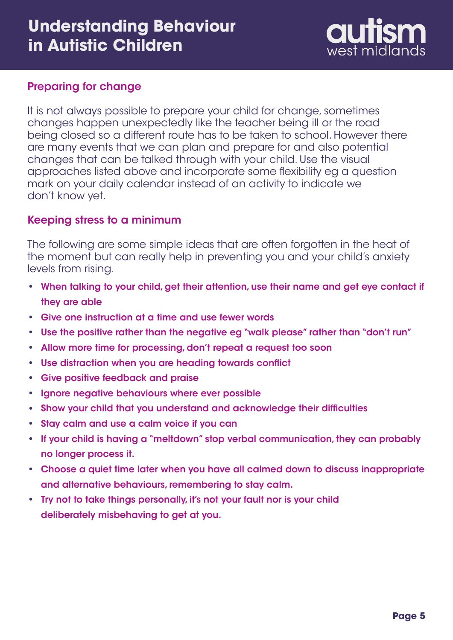## **Understanding Behaviour in Autistic Children**



### Preparing for change

It is not always possible to prepare your child for change, sometimes changes happen unexpectedly like the teacher being ill or the road being closed so a different route has to be taken to school. However there are many events that we can plan and prepare for and also potential changes that can be talked through with your child. Use the visual approaches listed above and incorporate some flexibility eg a question mark on your daily calendar instead of an activity to indicate we don't know yet.

### Keeping stress to a minimum

The following are some simple ideas that are often forgotten in the heat of the moment but can really help in preventing you and your child's anxiety levels from rising.

- When talking to your child, get their attention, use their name and get eye contact if **•** they are able
- Give one instruction at a time and use fewer words **•**
- Use the positive rather than the negative eg "walk please" rather than "don't run"
- Allow more time for processing, don't repeat a request too soon **•**
- Use distraction when you are heading towards conflict **•**
- Give positive feedback and praise **•**
- Ignore negative behaviours where ever possible
- Show your child that you understand and acknowledge their difficulties **•**
- Stay calm and use a calm voice if you can
- If your child is having a "meltdown" stop verbal communication, they can probably no longer process it.
- Choose a quiet time later when you have all calmed down to discuss inappropriate **•** and alternative behaviours, remembering to stay calm.
- Try not to take things personally, it's not your fault nor is your child **•**deliberately misbehaving to get at you.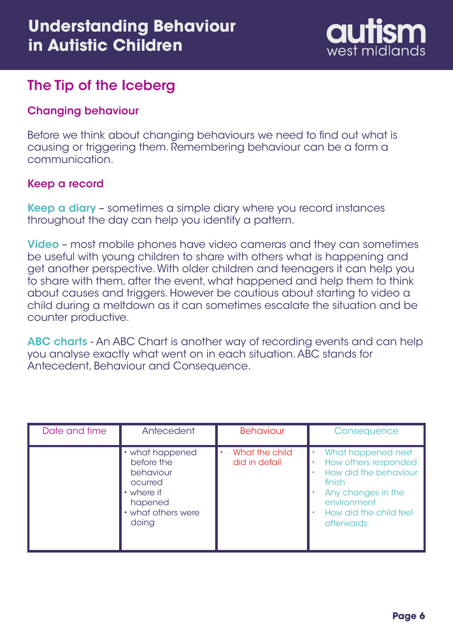

## The Tip of the Iceberg

## Changing behaviour

Before we think about changing behaviours we need to find out what is causing or triggering them. Remembering behaviour can be a form a communication.

## Keep a record

Keep a diary - sometimes a simple diary where you record instances throughout the day can help you identify a pattern.

Video - most mobile phones have video cameras and they can sometimes be useful with young children to share with others what is happening and get another perspective. With older children and teenagers it can help you to share with them, after the event, what happened and help them to think about causes and triggers. However be cautious about starting to video a child during a meltdown as it can sometimes escalate the situation and be counter productive.

ABC charts - An ABC Chart is another way of recording events and can help you analyse exactly what went on in each situation. ABC stands for Antecedent, Behaviour and Consequence.

| Date and time | Antecedent                                                                                                    | <b>Behaviour</b>                             | Consequence                                                                                                                                                 |
|---------------|---------------------------------------------------------------------------------------------------------------|----------------------------------------------|-------------------------------------------------------------------------------------------------------------------------------------------------------------|
|               | • what happened<br>before the<br>behaviour<br>ocurred<br>• where it<br>hapened<br>• what others were<br>doing | What the child<br>$\bullet$<br>did in detail | What happened next<br>How others responded<br>How did the behaviour<br>finish<br>Any changes in the<br>environment<br>How did the child feel<br>afterwards. |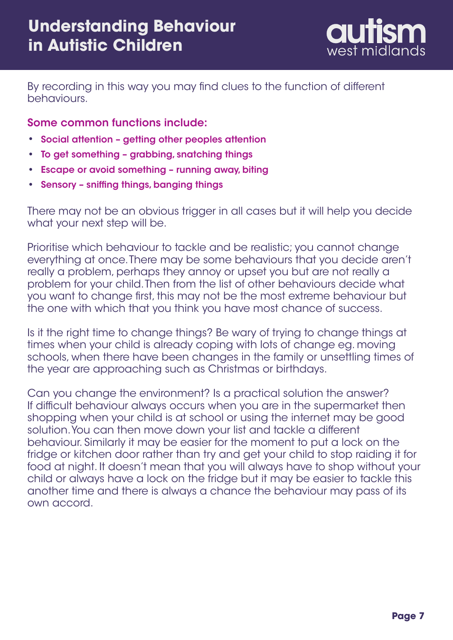

By recording in this way you may find clues to the function of different behaviours.

Some common functions include:

- **•** Social attention getting other peoples attention
- **•** To get something grabbing, snatching things
- **•** Escape or avoid something running away, biting
- **•** Sensory sniffing things, banging things

There may not be an obvious trigger in all cases but it will help you decide what your next step will be.

Prioritise which behaviour to tackle and be realistic; you cannot change everything at once. There may be some behaviours that you decide aren't really a problem, perhaps they annoy or upset you but are not really a problem for your child. Then from the list of other behaviours decide what you want to change first, this may not be the most extreme behaviour but the one with which that you think you have most chance of success.

Is it the right time to change things? Be wary of trying to change things at times when your child is already coping with lots of change eg. moving schools, when there have been changes in the family or unsettling times of the year are approaching such as Christmas or birthdays.

Can you change the environment? Is a practical solution the answer? If difficult behaviour always occurs when you are in the supermarket then shopping when your child is at school or using the internet may be good solution. You can then move down your list and tackle a different behaviour. Similarly it may be easier for the moment to put a lock on the fridge or kitchen door rather than try and get your child to stop raiding it for food at night. It doesn't mean that you will always have to shop without your child or always have a lock on the fridge but it may be easier to tackle this another time and there is always a chance the behaviour may pass of its own accord.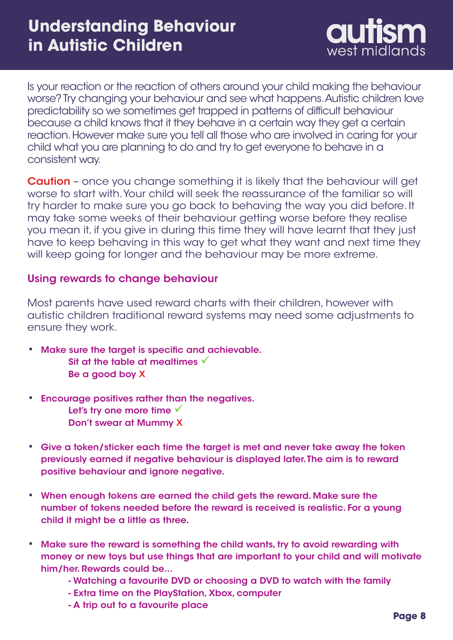

Is your reaction or the reaction of others around your child making the behaviour worse? Try changing your behaviour and see what happens. Autistic children love predictability so we sometimes get trapped in patterns of difficult behaviour because a child knows that it they behave in a certain way they get a certain reaction. However make sure you tell all those who are involved in caring for your child what you are planning to do and try to get everyone to behave in a consistent way.

**Caution** – once you change something it is likely that the behaviour will get worse to start with. Your child will seek the reassurance of the familiar so will try harder to make sure you go back to behaving the way you did before. It may take some weeks of their behaviour getting worse before they realise you mean it, if you give in during this time they will have learnt that they just have to keep behaving in this way to get what they want and next time they will keep going for longer and the behaviour may be more extreme.

#### Using rewards to change behaviour

Most parents have used reward charts with their children, however with autistic children traditional reward systems may need some adjustments to ensure they work.

- Make sure the target is specific and achievable. **•** Sit at the table at mealtimes  $\checkmark$ Be a good boy X
- Encourage positives rather than the negatives. **•** Let's try one more time  $\sqrt{ }$ Don't swear at Mummy X
- Give a token/sticker each time the target is met and never take away the token **•** previously earned if negative behaviour is displayed later. The aim is to reward positive behaviour and ignore negative.
- When enough tokens are earned the child gets the reward. Make sure the **•** number of tokens needed before the reward is received is realistic. For a young child it might be a little as three.
- Make sure the reward is something the child wants, try to avoid rewarding with **•**money or new toys but use things that are important to your child and will motivate him/her. Rewards could be...
	- Watching a favourite DVD or choosing a DVD to watch with the family
	- Extra time on the PlayStation, Xbox, computer
	- A trip out to a favourite place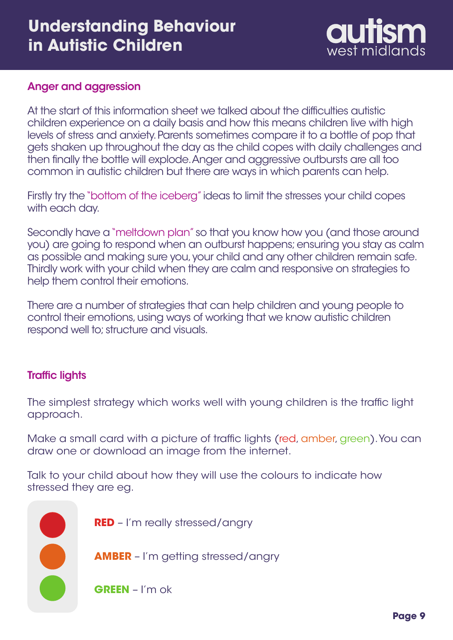## **Understanding Behaviour in Autistic Children**



### Anger and aggression

At the start of this information sheet we talked about the difficulties autistic children experience on a daily basis and how this means children live with high levels of stress and anxiety. Parents sometimes compare it to a bottle of pop that gets shaken up throughout the day as the child copes with daily challenges and then finally the bottle will explode. Anger and aggressive outbursts are all too common in autistic children but there are ways in which parents can help.

Firstly try the "bottom of the iceberg" ideas to limit the stresses your child copes with each day.

Secondly have a "meltdown plan" so that you know how you (and those around you) are going to respond when an outburst happens; ensuring you stay as calm as possible and making sure you, your child and any other children remain safe. Thirdly work with your child when they are calm and responsive on strategies to help them control their emotions.

There are a number of strategies that can help children and young people to control their emotions, using ways of working that we know autistic children respond well to; structure and visuals.

#### Traffic lights

The simplest strategy which works well with young children is the traffic light approach.

Make a small card with a picture of traffic lights (red, amber, green). You can draw one or download an image from the internet.

Talk to your child about how they will use the colours to indicate how stressed they are eg.

**RED** – I'm really stressed/angry

**AMBER** – I'm getting stressed/angry

**GREEN** – I'm ok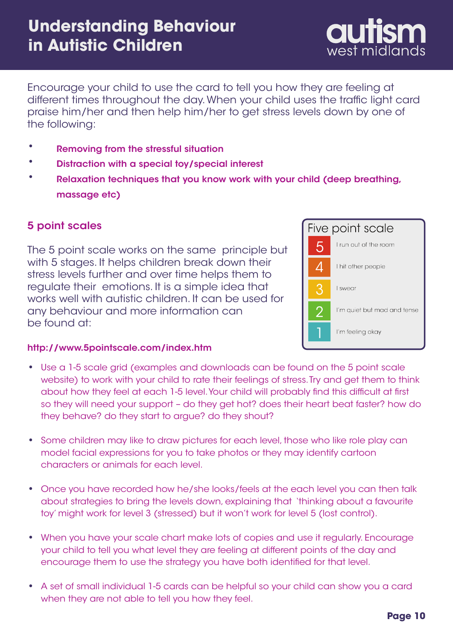Encourage your child to use the card to tell you how they are feeling at different times throughout the day. When your child uses the traffic light card praise him/her and then help him/her to get stress levels down by one of the following:

- Removing from the stressful situation **•**
- Distraction with a special toy/special interest **•**
- Relaxation techniques that you know work with your child (deep breathing, massage etc) **•**

## 5 point scales

The 5 point scale works on the same principle but with 5 stages. It helps children break down their stress levels further and over time helps them to regulate their emotions. It is a simple idea that works well with autistic children. It can be used for any behaviour and more information can be found at:



west midlands

#### <http://www.5pointscale.com/index.htm>

- Use a 1-5 scale grid (examples and downloads can be found on the 5 point scale **•** website) to work with your child to rate their feelings of stress. Try and get them to think about how they feel at each 1-5 level. Your child will probably find this difficult at first so they will need your support – do they get hot? does their heart beat faster? how do they behave? do they start to argue? do they shout?
- Some children may like to draw pictures for each level, those who like role play can model facial expressions for you to take photos or they may identify cartoon characters or animals for each level.
- Once you have recorded how he/she looks/feels at the each level you can then talk **•** about strategies to bring the levels down, explaining that 'thinking about a favourite toy' might work for level 3 (stressed) but it won't work for level 5 (lost control).
- When you have your scale chart make lots of copies and use it regularly. Encourage **•** your child to tell you what level they are feeling at different points of the day and encourage them to use the strategy you have both identified for that level.
- A set of small individual 1-5 cards can be helpful so your child can show you a card when they are not able to tell you how they feel. **•**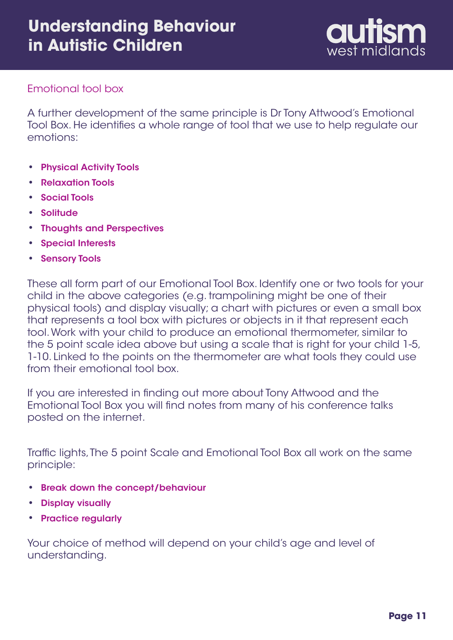

### Emotional tool box

A further development of the same principle is Dr Tony Attwood's Emotional Tool Box. He identifies a whole range of tool that we use to help regulate our emotions:

- Physical Activity Tools **•**
- Relaxation Tools **•**
- Social Tools **•**
- Solitude **•**
- Thoughts and Perspectives **•**
- Special Interests **•**
- Sensory Tools

These all form part of our Emotional Tool Box. Identify one or two tools for your child in the above categories (e.g. trampolining might be one of their physical tools) and display visually; a chart with pictures or even a small box that represents a tool box with pictures or objects in it that represent each tool. Work with your child to produce an emotional thermometer, similar to the 5 point scale idea above but using a scale that is right for your child 1-5, 1-10. Linked to the points on the thermometer are what tools they could use from their emotional tool box.

If you are interested in finding out more about Tony Attwood and the Emotional Tool Box you will find notes from many of his conference talks posted on the internet.

Traffic lights, The 5 point Scale and Emotional Tool Box all work on the same principle:

- Break down the concept/behaviour **•**
- Display visually **•**
- Practice regularly **•**

Your choice of method will depend on your child's age and level of understanding.